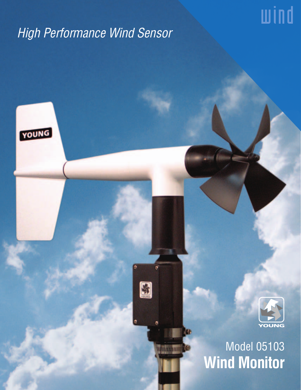## High Performance Wind Sensor

S

æ

WORTHLINE

YOUNG



wind

# Model 05103 **Wind Monitor**